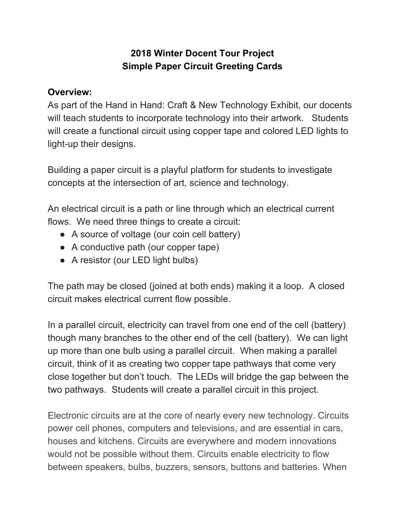## **2018 Winter Docent Tour Project Simple Paper Circuit Greeting Cards**

## **Overview:**

As part of the Hand in Hand: Craft & New Technology Exhibit, our docents will teach students to incorporate technology into their artwork. Students will create a functional circuit using copper tape and colored LED lights to light-up their designs.

Building a paper circuit is a playful platform for students to investigate concepts at the intersection of art, science and technology.

An electrical circuit is a path or line through which an electrical current flows. We need three things to create a circuit:

- A source of voltage (our coin cell battery)
- A conductive path (our copper tape)
- A resistor (our LED light bulbs)

The path may be closed (joined at both ends) making it a loop. A closed circuit makes electrical current flow possible.

In a parallel circuit, electricity can travel from one end of the cell (battery) though many branches to the other end of the cell (battery). We can light up more than one bulb using a parallel circuit. When making a parallel circuit, think of it as creating two copper tape pathways that come very close together but don't touch. The LEDs will bridge the gap between the two pathways. Students will create a parallel circuit in this project.

Electronic circuits are at the core of nearly every new technology. Circuits power cell phones, computers and televisions, and are essential in cars, houses and kitchens. Circuits are everywhere and modern innovations would not be possible without them. Circuits enable electricity to flow between speakers, bulbs, buzzers, sensors, buttons and batteries. When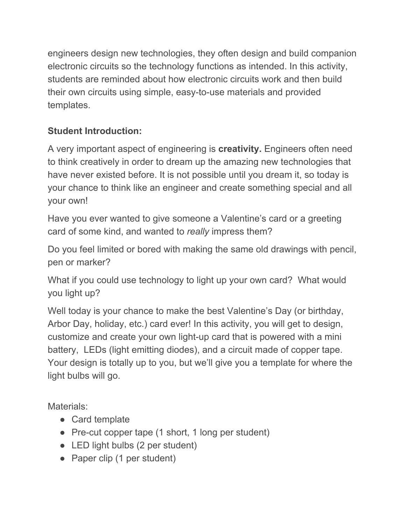engineers design new technologies, they often design and build companion electronic circuits so the technology functions as intended. In this activity, students are reminded about how electronic circuits work and then build their own circuits using simple, easy-to-use materials and provided templates.

## **Student Introduction:**

A very important aspect of engineering is **creativity.** Engineers often need to think creatively in order to dream up the amazing new technologies that have never existed before. It is not possible until you dream it, so today is your chance to think like an engineer and create something special and all your own!

Have you ever wanted to give someone a Valentine's card or a greeting card of some kind, and wanted to *really* impress them?

Do you feel limited or bored with making the same old drawings with pencil, pen or marker?

What if you could use technology to light up your own card? What would you light up?

Well today is your chance to make the best Valentine's Day (or birthday, Arbor Day, holiday, etc.) card ever! In this activity, you will get to design, customize and create your own light-up card that is powered with a mini battery, LEDs (light emitting diodes), and a circuit made of copper tape. Your design is totally up to you, but we'll give you a template for where the light bulbs will go.

Materials:

- Card template
- Pre-cut copper tape (1 short, 1 long per student)
- LED light bulbs (2 per student)
- Paper clip (1 per student)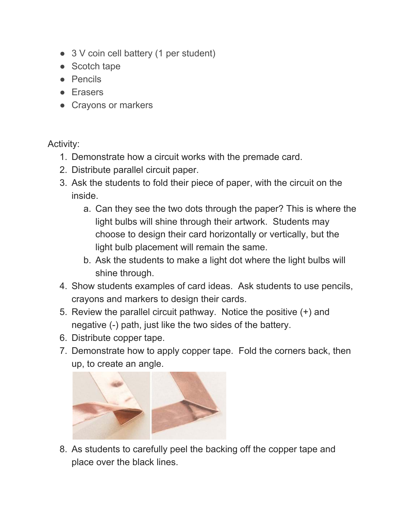- 3 V coin cell battery (1 per student)
- Scotch tape
- Pencils
- Erasers
- Crayons or markers

## Activity:

- 1. Demonstrate how a circuit works with the premade card.
- 2. Distribute parallel circuit paper.
- 3. Ask the students to fold their piece of paper, with the circuit on the inside.
	- a. Can they see the two dots through the paper? This is where the light bulbs will shine through their artwork. Students may choose to design their card horizontally or vertically, but the light bulb placement will remain the same.
	- b. Ask the students to make a light dot where the light bulbs will shine through.
- 4. Show students examples of card ideas. Ask students to use pencils, crayons and markers to design their cards.
- 5. Review the parallel circuit pathway. Notice the positive (+) and negative (-) path, just like the two sides of the battery.
- 6. Distribute copper tape.
- 7. Demonstrate how to apply copper tape. Fold the corners back, then up, to create an angle.



8. As students to carefully peel the backing off the copper tape and place over the black lines.